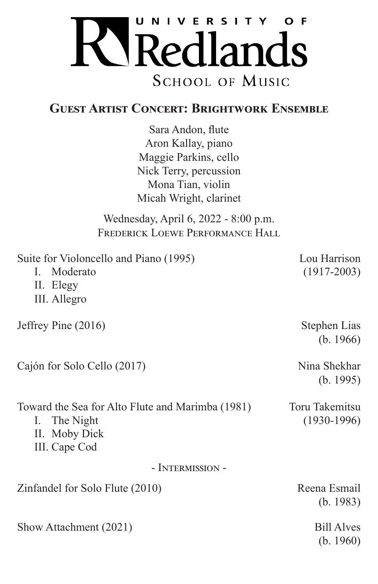

## **Guest Artist Concert: Brightwork Ensemble**

Sara Andon, flute Aron Kallay, piano Maggie Parkins, cello Nick Terry, percussion Mona Tian, violin Micah Wright, clarinet

Wednesday, April 6, 2022 - 8:00 p.m. FREDERICK LOEWE PERFORMANCE HALL

| Suite for Violoncello and Piano (1995)<br>I. Moderato<br>II. Elegy<br>III. Allegro                 | Lou Harrison<br>$(1917 - 2003)$ |
|----------------------------------------------------------------------------------------------------|---------------------------------|
| Jeffrey Pine $(2016)$                                                                              | Stephen Lias<br>(b. 1966)       |
| Cajón for Solo Cello (2017)                                                                        | Nina Shekhar<br>(b. 1995)       |
| Toward the Sea for Alto Flute and Marimba (1981)<br>I. The Night<br>II. Moby Dick<br>III. Cape Cod | Toru Takemitsu<br>$(1930-1996)$ |
| - INTERMISSION -                                                                                   |                                 |
| Zinfandel for Solo Flute (2010)                                                                    | Reena Esmail<br>(b. 1983)       |
| Show Attachment (2021)                                                                             | <b>Bill Alves</b><br>(b. 1960)  |